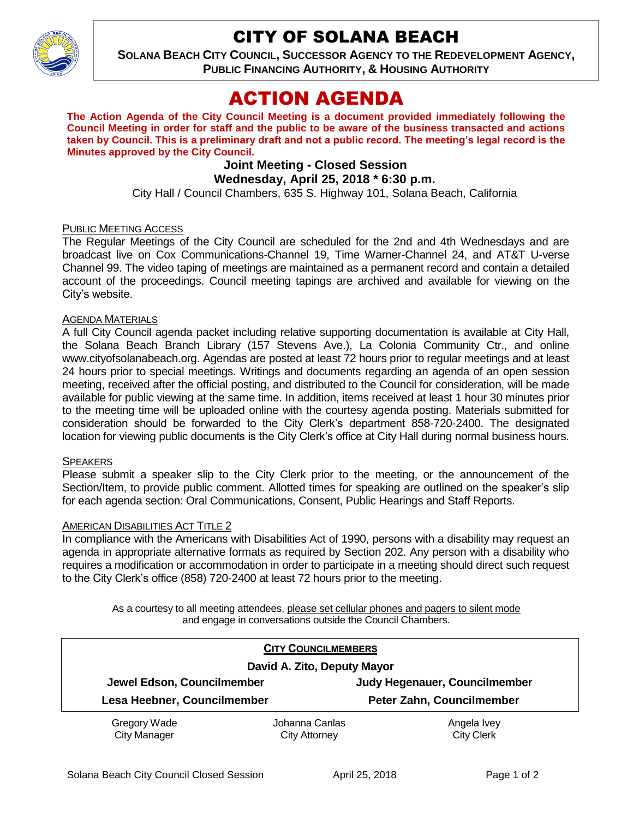CITY OF SOLANA BEACH



**SOLANA BEACH CITY COUNCIL, SUCCESSOR AGENCY TO THE REDEVELOPMENT AGENCY, PUBLIC FINANCING AUTHORITY, & HOUSING AUTHORITY** 

# ACTION AGENDA

**The Action Agenda of the City Council Meeting is a document provided immediately following the Council Meeting in order for staff and the public to be aware of the business transacted and actions taken by Council. This is a preliminary draft and not a public record. The meeting's legal record is the Minutes approved by the City Council.**

# **Joint Meeting - Closed Session Wednesday, April 25, 2018 \* 6:30 p.m.**

City Hall / Council Chambers, 635 S. Highway 101, Solana Beach, California

#### PUBLIC MEETING ACCESS

The Regular Meetings of the City Council are scheduled for the 2nd and 4th Wednesdays and are broadcast live on Cox Communications-Channel 19, Time Warner-Channel 24, and AT&T U-verse Channel 99. The video taping of meetings are maintained as a permanent record and contain a detailed account of the proceedings. Council meeting tapings are archived and available for viewing on the City's website.

#### AGENDA MATERIALS

A full City Council agenda packet including relative supporting documentation is available at City Hall, the Solana Beach Branch Library (157 Stevens Ave.), La Colonia Community Ctr., and online www.cityofsolanabeach.org. Agendas are posted at least 72 hours prior to regular meetings and at least 24 hours prior to special meetings. Writings and documents regarding an agenda of an open session meeting, received after the official posting, and distributed to the Council for consideration, will be made available for public viewing at the same time. In addition, items received at least 1 hour 30 minutes prior to the meeting time will be uploaded online with the courtesy agenda posting. Materials submitted for consideration should be forwarded to the City Clerk's department 858-720-2400. The designated location for viewing public documents is the City Clerk's office at City Hall during normal business hours.

#### **SPEAKERS**

Please submit a speaker slip to the City Clerk prior to the meeting, or the announcement of the Section/Item, to provide public comment. Allotted times for speaking are outlined on the speaker's slip for each agenda section: Oral Communications, Consent, Public Hearings and Staff Reports.

#### AMERICAN DISABILITIES ACT TITLE 2

In compliance with the Americans with Disabilities Act of 1990, persons with a disability may request an agenda in appropriate alternative formats as required by Section 202. Any person with a disability who requires a modification or accommodation in order to participate in a meeting should direct such request to the City Clerk's office (858) 720-2400 at least 72 hours prior to the meeting.

As a courtesy to all meeting attendees, please set cellular phones and pagers to silent mode and engage in conversations outside the Council Chambers.

|                             | <b>CITY COUNCILMEMBERS</b> |                               |
|-----------------------------|----------------------------|-------------------------------|
| David A. Zito, Deputy Mayor |                            |                               |
| Jewel Edson, Councilmember  |                            | Judy Hegenauer, Councilmember |
| Lesa Heebner, Councilmember |                            | Peter Zahn, Councilmember     |
| Gregory Wade                | Johanna Canlas             | Angela Ivey                   |
| <b>City Manager</b>         | <b>City Attorney</b>       | <b>City Clerk</b>             |